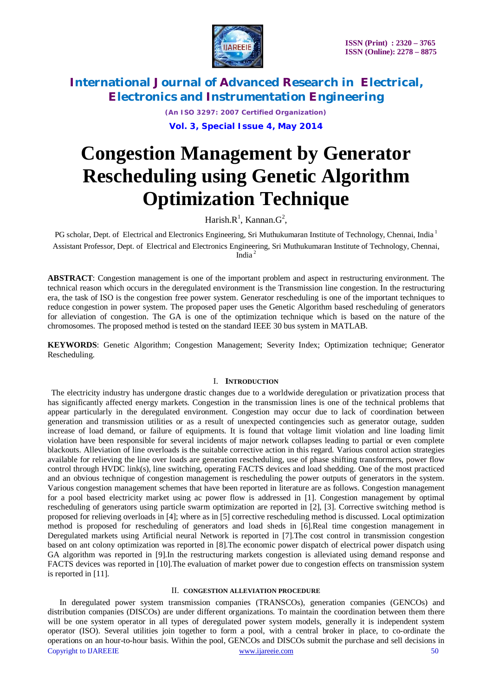

*(An ISO 3297: 2007 Certified Organization)*

**Vol. 3, Special Issue 4, May 2014**

# **Congestion Management by Generator Rescheduling using Genetic Algorithm Optimization Technique**

Harish. $R^1$ , Kannan. $G^2$ ,

PG scholar, Dept. of Electrical and Electronics Engineering, Sri Muthukumaran Institute of Technology, Chennai, India<sup>1</sup> Assistant Professor, Dept. of Electrical and Electronics Engineering, Sri Muthukumaran Institute of Technology, Chennai, India <sup>2</sup>

**ABSTRACT**: Congestion management is one of the important problem and aspect in restructuring environment. The technical reason which occurs in the deregulated environment is the Transmission line congestion. In the restructuring era, the task of ISO is the congestion free power system. Generator rescheduling is one of the important techniques to reduce congestion in power system. The proposed paper uses the Genetic Algorithm based rescheduling of generators for alleviation of congestion. The GA is one of the optimization technique which is based on the nature of the chromosomes. The proposed method is tested on the standard IEEE 30 bus system in MATLAB.

**KEYWORDS**: Genetic Algorithm; Congestion Management; Severity Index; Optimization technique; Generator Rescheduling.

### I. **INTRODUCTION**

The electricity industry has undergone drastic changes due to a worldwide deregulation or privatization process that has significantly affected energy markets. Congestion in the transmission lines is one of the technical problems that appear particularly in the deregulated environment. Congestion may occur due to lack of coordination between generation and transmission utilities or as a result of unexpected contingencies such as generator outage, sudden increase of load demand, or failure of equipments. It is found that voltage limit violation and line loading limit violation have been responsible for several incidents of major network collapses leading to partial or even complete blackouts. Alleviation of line overloads is the suitable corrective action in this regard. Various control action strategies available for relieving the line over loads are generation rescheduling, use of phase shifting transformers, power flow control through HVDC link(s), line switching, operating FACTS devices and load shedding. One of the most practiced and an obvious technique of congestion management is rescheduling the power outputs of generators in the system. Various congestion management schemes that have been reported in literature are as follows. Congestion management for a pool based electricity market using ac power flow is addressed in [1]. Congestion management by optimal rescheduling of generators using particle swarm optimization are reported in [2], [3]. Corrective switching method is proposed for relieving overloads in [4]; where as in [5] corrective rescheduling method is discussed. Local optimization method is proposed for rescheduling of generators and load sheds in [6].Real time congestion management in Deregulated markets using Artificial neural Network is reported in [7].The cost control in transmission congestion based on ant colony optimization was reported in [8].The economic power dispatch of electrical power dispatch using GA algorithm was reported in [9].In the restructuring markets congestion is alleviated using demand response and FACTS devices was reported in [10].The evaluation of market power due to congestion effects on transmission system is reported in [11].

### II. **CONGESTION ALLEVIATION PROCEDURE**

Copyright to IJAREEIE www.ijareeie.com 50 In deregulated power system transmission companies (TRANSCOs), generation companies (GENCOs) and distribution companies (DISCOs) are under different organizations. To maintain the coordination between them there will be one system operator in all types of deregulated power system models, generally it is independent system operator (ISO). Several utilities join together to form a pool, with a central broker in place, to co-ordinate the operations on an hour-to-hour basis. Within the pool, GENCOs and DISCOs submit the purchase and sell decisions in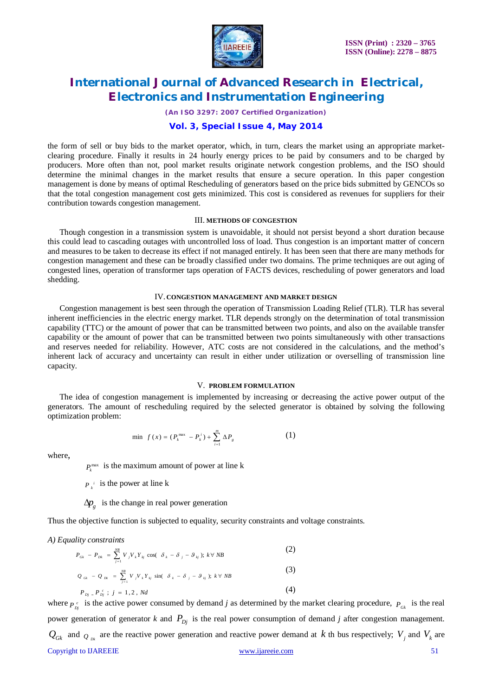

*(An ISO 3297: 2007 Certified Organization)*

### **Vol. 3, Special Issue 4, May 2014**

the form of sell or buy bids to the market operator, which, in turn, clears the market using an appropriate marketclearing procedure. Finally it results in 24 hourly energy prices to be paid by consumers and to be charged by producers. More often than not, pool market results originate network congestion problems, and the ISO should determine the minimal changes in the market results that ensure a secure operation. In this paper congestion management is done by means of optimal Rescheduling of generators based on the price bids submitted by GENCOs so that the total congestion management cost gets minimized. This cost is considered as revenues for suppliers for their contribution towards congestion management.

#### III. **METHODS OF CONGESTION**

Though congestion in a transmission system is unavoidable, it should not persist beyond a short duration because this could lead to cascading outages with uncontrolled loss of load. Thus congestion is an important matter of concern and measures to be taken to decrease its effect if not managed entirely. It has been seen that there are many methods for congestion management and these can be broadly classified under two domains. The prime techniques are out aging of congested lines, operation of transformer taps operation of FACTS devices, rescheduling of power generators and load shedding.

#### IV. **CONGESTION MANAGEMENT AND MARKET DESIGN**

Congestion management is best seen through the operation of Transmission Loading Relief (TLR). TLR has several inherent inefficiencies in the electric energy market. TLR depends strongly on the determination of total transmission capability (TTC) or the amount of power that can be transmitted between two points, and also on the available transfer capability or the amount of power that can be transmitted between two points simultaneously with other transactions and reserves needed for reliability. However, ATC costs are not considered in the calculations, and the method's inherent lack of accuracy and uncertainty can result in either under utilization or overselling of transmission line capacity.

#### V. **PROBLEM FORMULATION**

The idea of congestion management is implemented by increasing or decreasing the active power output of the generators. The amount of rescheduling required by the selected generator is obtained by solving the following optimization problem:

$$
\min \ \ f(x) = (P_k^{\max} - P_k^i) + \sum_{i=1}^m \Delta P_{g}
$$
 (1)

where,

 $P_k^{\text{max}}$  is the maximum amount of power at line k

 $P_{k}$ <sup>*i*</sup> is the power at line k

### $\Delta p$ <sub>*g*</sub> is the change in real power generation

Thus the objective function is subjected to equality, security constraints and voltage constraints.

*A) Equality constraints*

$$
P_{ck} - P_{Dk} = \sum_{j=1}^{NB} V_j V_k Y_{kj} \cos(\delta_k - \delta_j - \theta_{kj}); k \forall NB
$$
\n
$$
Q_{ck} - Q_{Dk} = \sum_{j=1}^{NB} V_j V_k Y_{kj} \sin(\delta_k - \delta_j - \theta_{kj}); k \forall NB
$$
\n
$$
P_{Dj} = P_{Dj}^c; j = 1, 2, Nd
$$
\n(4)

Copyright to IJAREEIE www.ijareeie.com 51 where  $P_{Dj}^c$  is the active power consumed by demand *j* as determined by the market clearing procedure,  $P_{Gk}$  is the real power generation of generator *k* and  $P_{Di}$  is the real power consumption of demand *j* after congestion management.  $Q_{Gk}$  and  $Q_{Dk}$  are the reactive power generation and reactive power demand at *k* th bus respectively;  $V_j$  and  $V_k$  are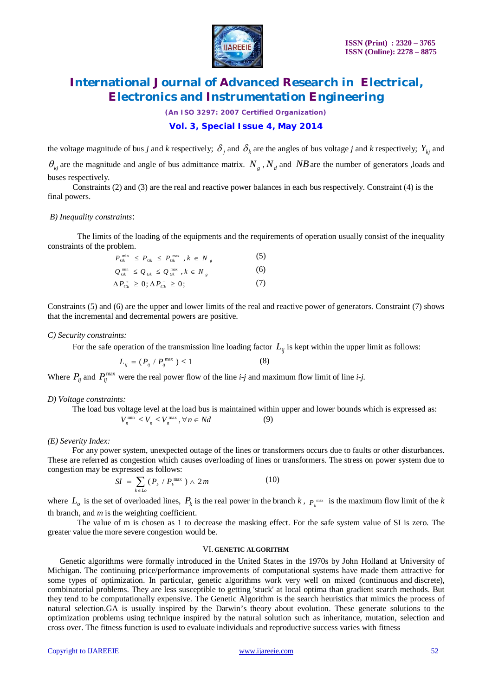

*(An ISO 3297: 2007 Certified Organization)*

### **Vol. 3, Special Issue 4, May 2014**

the voltage magnitude of bus *j* and *k* respectively;  $\delta_j$  and  $\delta_k$  are the angles of bus voltage *j* and *k* respectively;  $Y_{kj}$  and

 $\theta_{kj}$  are the magnitude and angle of bus admittance matrix.  $N_g$ ,  $N_d$  and  $NB$  are the number of generators, loads and buses respectively.

 Constraints (2) and (3) are the real and reactive power balances in each bus respectively. Constraint (4) is the final powers.

#### *B) Inequality constraints*:

The limits of the loading of the equipments and the requirements of operation usually consist of the inequality constraints of the problem.

$$
P_{Gk}^{\min} \leq P_{Gk} \leq P_{Gk}^{\max}, k \in N_g
$$
\n
$$
Q_{Gk}^{\min} \leq Q_{Gk} \leq Q_{Gk}^{\max}, k \in N_g
$$
\n
$$
\Delta P_{Gk}^{\perp} \geq 0; \Delta P_{Gk}^{-} \geq 0; \tag{7}
$$

Constraints (5) and (6) are the upper and lower limits of the real and reactive power of generators. Constraint (7) shows that the incremental and decremental powers are positive.

#### *C) Security constraints:*

For the safe operation of the transmission line loading factor  $L_{ij}$  is kept within the upper limit as follows:

$$
L_{ij} = (P_{ij} / P_{ij}^{\max}) \le 1
$$
 (8)

Where  $P_{ij}$  and  $P_{ij}^{\text{max}}$  were the real power flow of the line *i-j* and maximum flow limit of line *i-j*.

#### *D) Voltage constraints:*

 The load bus voltage level at the load bus is maintained within upper and lower bounds which is expressed as:  $V_n^{\min} \leq V_n \leq V_n^{\max}, \forall n \in Nd$ (9)

#### *(E) Severity Index:*

For any power system, unexpected outage of the lines or transformers occurs due to faults or other disturbances. These are referred as congestion which causes overloading of lines or transformers. The stress on power system due to congestion may be expressed as follows:

$$
SI = \sum_{k \in Lo} (P_k / P_k^{\max}) \wedge 2m \tag{10}
$$

where  $L_o$  is the set of overloaded lines,  $P_k$  is the real power in the branch  $k$ ,  $P_k^{\max}$  is the maximum flow limit of the  $k$ th branch, and *m* is the weighting coefficient.

The value of m is chosen as 1 to decrease the masking effect. For the safe system value of SI is zero. The greater value the more severe congestion would be.

#### VI. **GENETIC ALGORITHM**

Genetic algorithms were formally introduced in the United States in the 1970s by John Holland at University of Michigan. The continuing price/performance improvements of computational systems have made them attractive for some types of optimization. In particular, genetic algorithms work very well on mixed (continuous and discrete), combinatorial problems. They are less susceptible to getting 'stuck' at local optima than gradient search methods. But they tend to be computationally expensive. The Genetic Algorithm is the search heuristics that mimics the process of natural selection.GA is usually inspired by the Darwin's theory about evolution. These generate solutions to the optimization problems using technique inspired by the natural solution such as inheritance, mutation, selection and cross over. The fitness function is used to evaluate individuals and reproductive success varies with fitness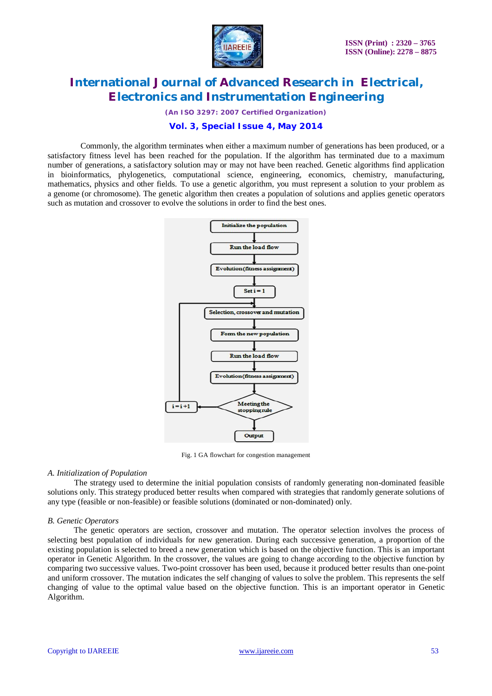

*(An ISO 3297: 2007 Certified Organization)*

## **Vol. 3, Special Issue 4, May 2014**

 Commonly, the algorithm terminates when either a maximum number of generations has been produced, or a satisfactory fitness level has been reached for the population. If the algorithm has terminated due to a maximum number of generations, a satisfactory solution may or may not have been reached. Genetic algorithms find application in bioinformatics, phylogenetics, computational science, engineering, economics, chemistry, manufacturing, mathematics, physics and other fields. To use a genetic algorithm, you must represent a solution to your problem as a genome (or chromosome). The genetic algorithm then creates a population of solutions and applies genetic operators such as mutation and crossover to evolve the solutions in order to find the best ones.



Fig. 1 GA flowchart for congestion management

#### *A. Initialization of Population*

 The strategy used to determine the initial population consists of randomly generating non-dominated feasible solutions only. This strategy produced better results when compared with strategies that randomly generate solutions of any type (feasible or non-feasible) or feasible solutions (dominated or non-dominated) only.

### *B. Genetic Operators*

The genetic operators are section, crossover and mutation. The operator selection involves the process of selecting best population of individuals for new generation. During each successive generation, a proportion of the existing population is selected to breed a new generation which is based on the objective function. This is an important operator in Genetic Algorithm. In the crossover, the values are going to change according to the objective function by comparing two successive values. Two-point crossover has been used, because it produced better results than one-point and uniform crossover. The mutation indicates the self changing of values to solve the problem. This represents the self changing of value to the optimal value based on the objective function. This is an important operator in Genetic Algorithm.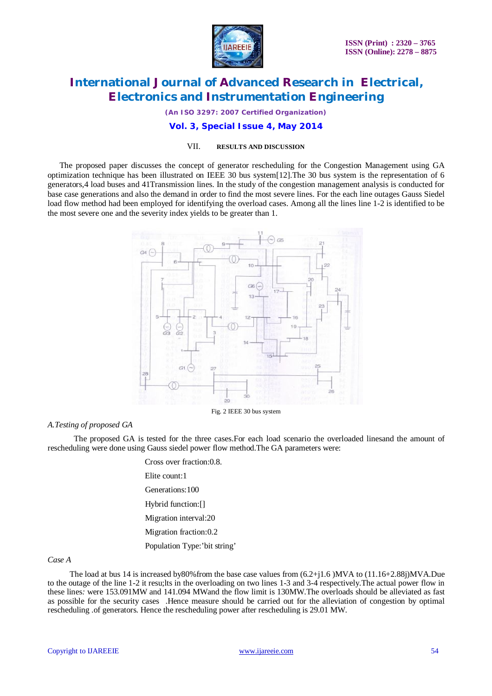

*(An ISO 3297: 2007 Certified Organization)*

### **Vol. 3, Special Issue 4, May 2014**

#### VII. **RESULTS AND DISCUSSION**

The proposed paper discusses the concept of generator rescheduling for the Congestion Management using GA optimization technique has been illustrated on IEEE 30 bus system[12].The 30 bus system is the representation of 6 generators,4 load buses and 41Transmission lines. In the study of the congestion management analysis is conducted for base case generations and also the demand in order to find the most severe lines. For the each line outages Gauss Siedel load flow method had been employed for identifying the overload cases. Among all the lines line 1-2 is identified to be the most severe one and the severity index yields to be greater than 1.



#### *A.Testing of proposed GA*

The proposed GA is tested for the three cases. For each load scenario the overloaded linesand the amount of rescheduling were done using Gauss siedel power flow method.The GA parameters were:

> Cross over fraction:0.8. Elite count:1 Generations:100 Hybrid function:[] Migration interval:20 Migration fraction:0.2 Population Type:'bit string'

### *Case A*

The load at bus 14 is increased by80%from the base case values from (6.2+j1.6 )MVA to (11.16+2.88j)MVA.Due to the outage of the line 1-2 it resu;lts in the overloading on two lines 1-3 and 3-4 respectively.The actual power flow in these lines*:* were 153.091MW and 141.094 MWand the flow limit is 130MW.The overloads should be alleviated as fast as possible for the security cases .Hence measure should be carried out for the alleviation of congestion by optimal rescheduling .of generators. Hence the rescheduling power after rescheduling is 29.01 MW.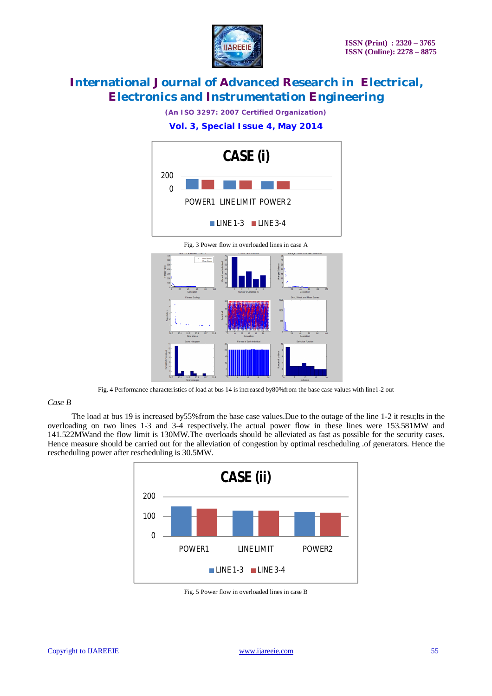

*(An ISO 3297: 2007 Certified Organization)*

# **Vol. 3, Special Issue 4, May 2014**



# *Case B*

 The load at bus 19 is increased by55%from the base case values.Due to the outage of the line 1-2 it resu;lts in the overloading on two lines 1-3 and 3-4 respectively.The actual power flow in these lines were 153.581MW and 141.522MWand the flow limit is 130MW.The overloads should be alleviated as fast as possible for the security cases. Hence measure should be carried out for the alleviation of congestion by optimal rescheduling .of generators. Hence the rescheduling power after rescheduling is 30.5MW.

Fig. 4 Performance characteristics of load at bus 14 is increased by80%from the base case values with line1-2 out



Fig. 5 Power flow in overloaded lines in case B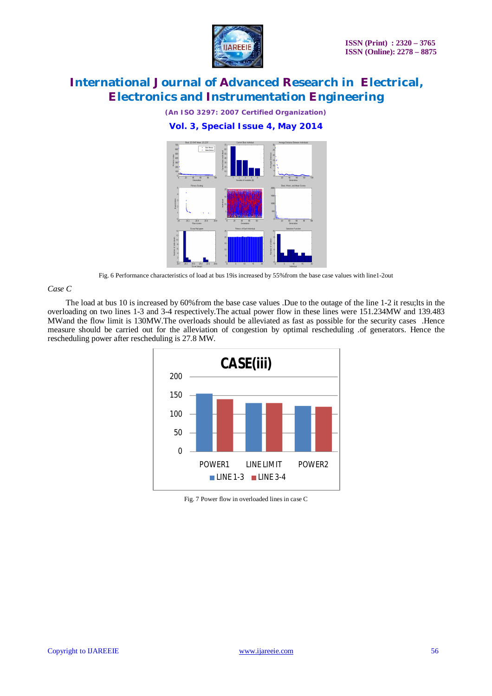

*(An ISO 3297: 2007 Certified Organization)*

**Vol. 3, Special Issue 4, May 2014**



Fig. 6 Performance characteristics of load at bus 19is increased by 55%from the base case values with line1-2out

### *Case C*

The load at bus 10 is increased by 60% from the base case values .Due to the outage of the line 1-2 it resu;lts in the overloading on two lines 1-3 and 3-4 respectively.The actual power flow in these lines were 151.234MW and 139.483 MWand the flow limit is 130MW.The overloads should be alleviated as fast as possible for the security cases .Hence measure should be carried out for the alleviation of congestion by optimal rescheduling .of generators. Hence the rescheduling power after rescheduling is 27.8 MW.



Fig. 7 Power flow in overloaded lines in case C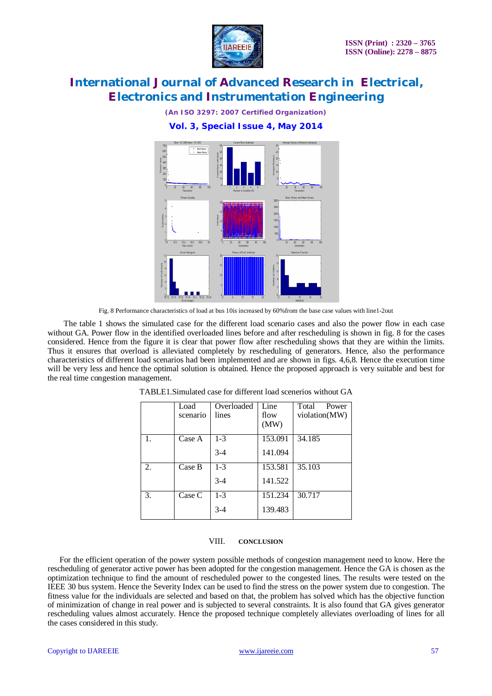

*(An ISO 3297: 2007 Certified Organization)*

### **Vol. 3, Special Issue 4, May 2014**



Fig. 8 Performance characteristics of load at bus 10is increased by 60%from the base case values with line1-2out

 The table 1 shows the simulated case for the different load scenario cases and also the power flow in each case without GA. Power flow in the identified overloaded lines before and after rescheduling is shown in fig. 8 for the cases considered. Hence from the figure it is clear that power flow after rescheduling shows that they are within the limits. Thus it ensures that overload is alleviated completely by rescheduling of generators. Hence, also the performance characteristics of different load scenarios had been implemented and are shown in figs. 4,6,8. Hence the execution time will be very less and hence the optimal solution is obtained. Hence the proposed approach is very suitable and best for the real time congestion management.

|    | Load     | Overloaded | Line    | Total<br>Power |
|----|----------|------------|---------|----------------|
|    | scenario | lines      | flow    | violation(MW)  |
|    |          |            | (MW)    |                |
| 1. | Case A   | $1-3$      | 153.091 | 34.185         |
|    |          | $3 - 4$    | 141.094 |                |
| 2. | Case B   | $1 - 3$    | 153.581 | 35.103         |
|    |          | $3 - 4$    | 141.522 |                |
| 3. | Case C   | $1 - 3$    | 151.234 | 30.717         |
|    |          | $3-4$      | 139.483 |                |

TABLE1.Simulated case for different load scenerios without GA

### VIII. **CONCLUSION**

For the efficient operation of the power system possible methods of congestion management need to know. Here the rescheduling of generator active power has been adopted for the congestion management. Hence the GA is chosen as the optimization technique to find the amount of rescheduled power to the congested lines. The results were tested on the IEEE 30 bus system. Hence the Severity Index can be used to find the stress on the power system due to congestion. The fitness value for the individuals are selected and based on that, the problem has solved which has the objective function of minimization of change in real power and is subjected to several constraints. It is also found that GA gives generator rescheduling values almost accurately. Hence the proposed technique completely alleviates overloading of lines for all the cases considered in this study.